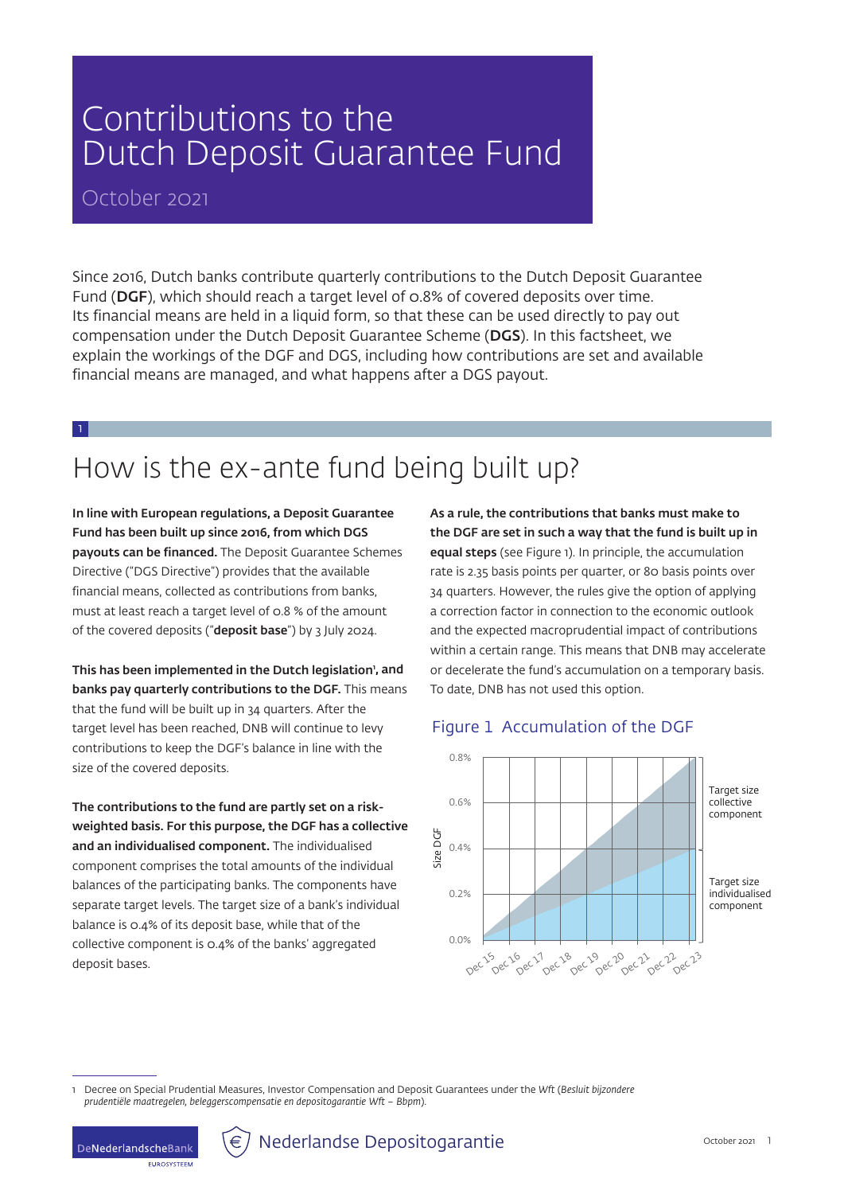# Contributions to the Dutch Deposit Guarantee Fund

### October 2021

Since 2016, Dutch banks contribute quarterly contributions to the Dutch Deposit Guarantee Fund (DGF), which should reach a target level of 0.8% of covered deposits over time. Its financial means are held in a liquid form, so that these can be used directly to pay out compensation under the Dutch Deposit Guarantee Scheme (DGS). In this factsheet, we explain the workings of the DGF and DGS, including how contributions are set and available financial means are managed, and what happens after a DGS payout.

1

# How is the ex-ante fund being built up?

In line with European regulations, a Deposit Guarantee Fund has been built up since 2016, from which DGS payouts can be financed. The Deposit Guarantee Schemes Directive ("DGS Directive") provides that the available financial means, collected as contributions from banks, must at least reach a target level of 0.8 % of the amount of the covered deposits ("deposit base") by 3 July 2024.

This has been implemented in the Dutch legislation', and banks pay quarterly contributions to the DGF. This means that the fund will be built up in 34 quarters. After the target level has been reached, DNB will continue to levy contributions to keep the DGF's balance in line with the size of the covered deposits.

The contributions to the fund are partly set on a riskweighted basis. For this purpose, the DGF has a collective and an individualised component. The individualised component comprises the total amounts of the individual balances of the participating banks. The components have separate target levels. The target size of a bank's individual balance is 0.4% of its deposit base, while that of the collective component is 0.4% of the banks' aggregated deposit bases.

As a rule, the contributions that banks must make to the DGF are set in such a way that the fund is built up in equal steps (see Figure 1). In principle, the accumulation rate is 2.35 basis points per quarter, or 80 basis points over 34 quarters. However, the rules give the option of applying a correction factor in connection to the economic outlook and the expected macroprudential impact of contributions within a certain range. This means that DNB may accelerate or decelerate the fund's accumulation on a temporary basis. To date, DNB has not used this option.

### Figure 1 Accumulation of the DGF



1 Decree on Special Prudential Measures, Investor Compensation and Deposit Guarantees under the *Wft* (*Besluit bijzondere prudentiële maatregelen, beleggerscompensatie en depositogarantie Wft – Bbpm*).

**ELIDOSVETEEM** 

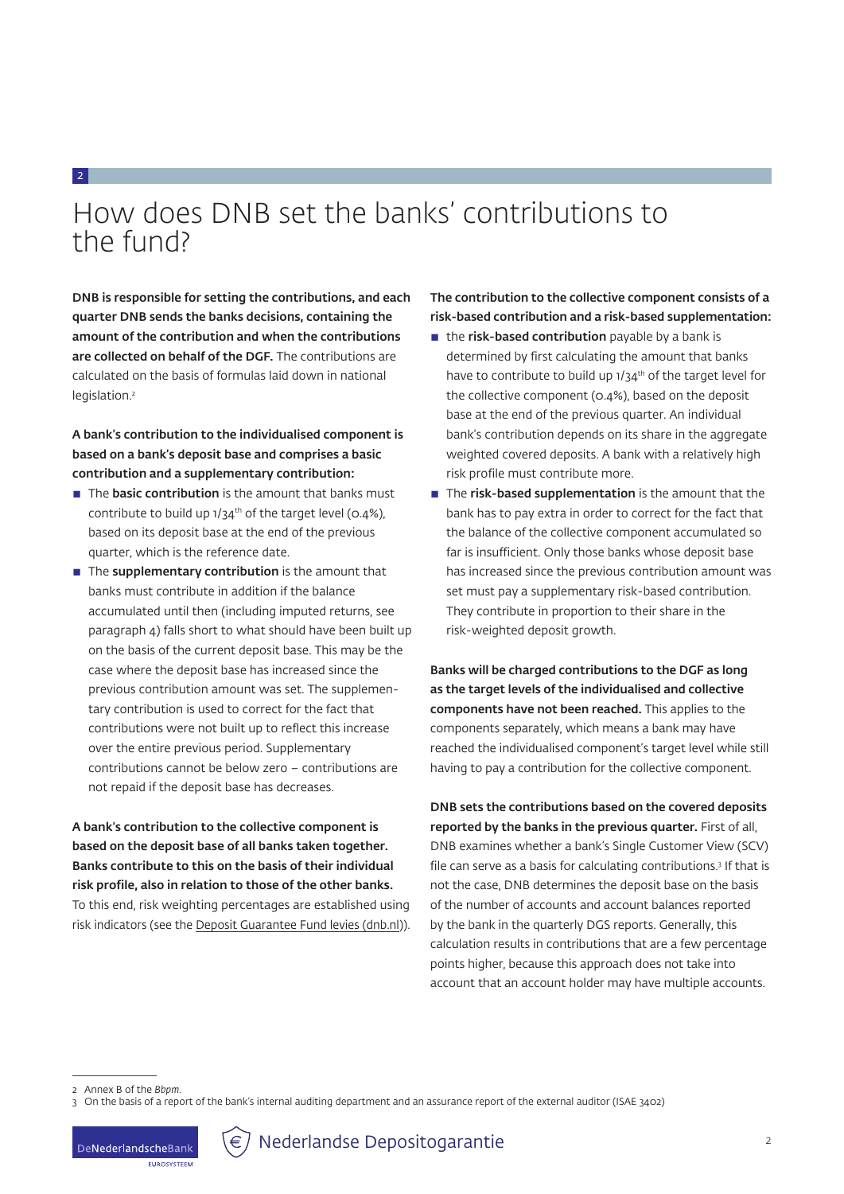# How does DNB set the banks' contributions to the fund?

DNB is responsible for setting the contributions, and each quarter DNB sends the banks decisions, containing the amount of the contribution and when the contributions are collected on behalf of the DGF. The contributions are calculated on the basis of formulas laid down in national legislation.2

2

A bank's contribution to the individualised component is based on a bank's deposit base and comprises a basic contribution and a supplementary contribution:

- The **basic contribution** is the amount that banks must contribute to build up  $1/34$ <sup>th</sup> of the target level (0.4%), based on its deposit base at the end of the previous quarter, which is the reference date.
- $\blacksquare$  The supplementary contribution is the amount that banks must contribute in addition if the balance accumulated until then (including imputed returns, see paragraph 4) falls short to what should have been built up on the basis of the current deposit base. This may be the case where the deposit base has increased since the previous contribution amount was set. The supplementary contribution is used to correct for the fact that contributions were not built up to reflect this increase over the entire previous period. Supplementary contributions cannot be below zero – contributions are not repaid if the deposit base has decreases.

A bank's contribution to the collective component is based on the deposit base of all banks taken together. Banks contribute to this on the basis of their individual risk profile, also in relation to those of the other banks. To this end, risk weighting percentages are established using risk indicators (see the [Deposit Guarantee Fund levies \(dnb.nl\)](https://www.dnb.nl/en/sector-information/deposit-guarantee-scheme/deposit-guarantee-scheme/deposit-guarantee-fund-levies/)). The contribution to the collective component consists of a risk-based contribution and a risk-based supplementation:

- $\blacksquare$  the risk-based contribution payable by a bank is determined by first calculating the amount that banks have to contribute to build up 1/34<sup>th</sup> of the target level for the collective component (0.4%), based on the deposit base at the end of the previous quarter. An individual bank's contribution depends on its share in the aggregate weighted covered deposits. A bank with a relatively high risk profile must contribute more.
- The risk-based supplementation is the amount that the bank has to pay extra in order to correct for the fact that the balance of the collective component accumulated so far is insufficient. Only those banks whose deposit base has increased since the previous contribution amount was set must pay a supplementary risk-based contribution. They contribute in proportion to their share in the risk-weighted deposit growth.

Banks will be charged contributions to the DGF as long as the target levels of the individualised and collective components have not been reached. This applies to the components separately, which means a bank may have reached the individualised component's target level while still having to pay a contribution for the collective component.

DNB sets the contributions based on the covered deposits reported by the banks in the previous quarter. First of all, DNB examines whether a bank's Single Customer View (SCV) file can serve as a basis for calculating contributions.3 If that is not the case, DNB determines the deposit base on the basis of the number of accounts and account balances reported by the bank in the quarterly DGS reports. Generally, this calculation results in contributions that are a few percentage points higher, because this approach does not take into account that an account holder may have multiple accounts.



<sup>2</sup> Annex B of the *Bbpm*.

<sup>3</sup> On the basis of a report of the bank's internal auditing department and an assurance report of the external auditor (ISAE 3402)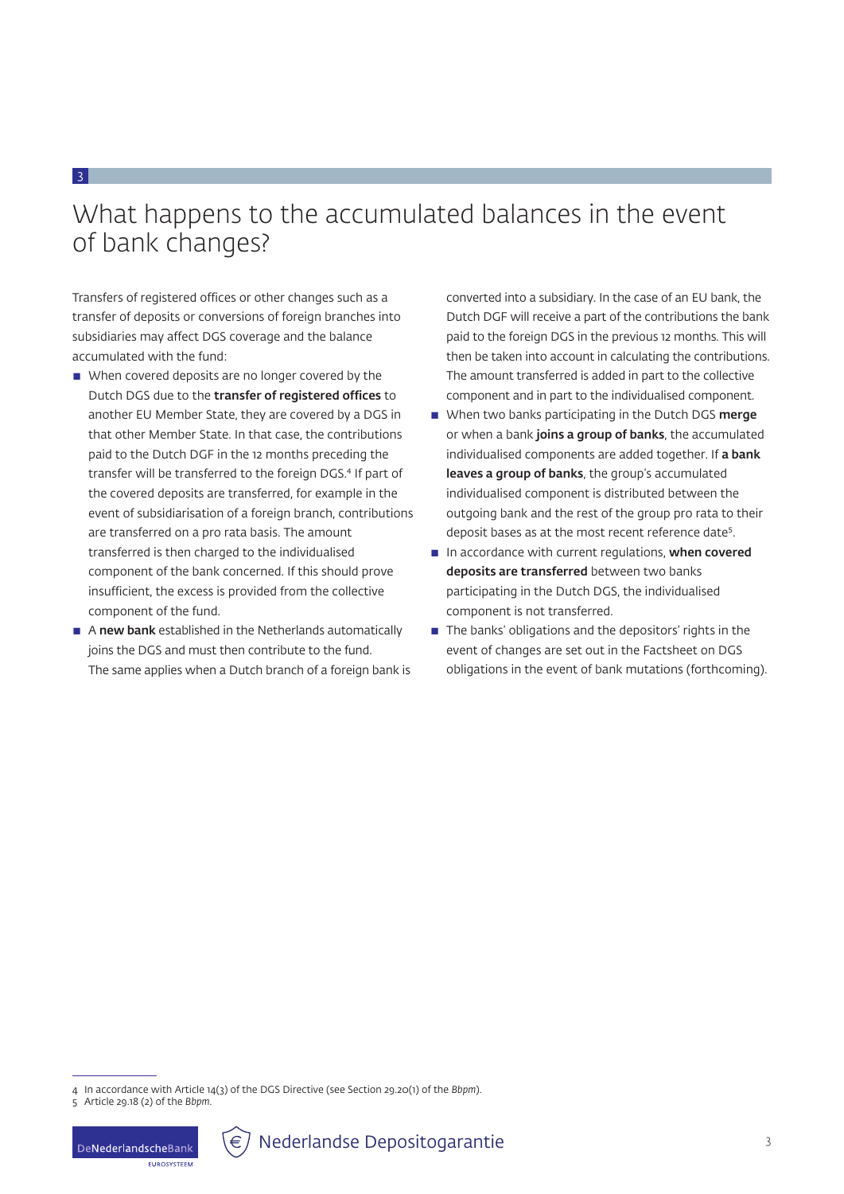## What happens to the accumulated balances in the event of bank changes?

Transfers of registered offices or other changes such as a transfer of deposits or conversions of foreign branches into subsidiaries may affect DGS coverage and the balance accumulated with the fund:

3

- When covered deposits are no longer covered by the Dutch DGS due to the transfer of registered offices to another EU Member State, they are covered by a DGS in that other Member State. In that case, the contributions paid to the Dutch DGF in the 12 months preceding the transfer will be transferred to the foreign DGS.<sup>4</sup> If part of the covered deposits are transferred, for example in the event of subsidiarisation of a foreign branch, contributions are transferred on a pro rata basis. The amount transferred is then charged to the individualised component of the bank concerned. If this should prove insufficient, the excess is provided from the collective component of the fund.
- $\blacksquare$  A new bank established in the Netherlands automatically joins the DGS and must then contribute to the fund. The same applies when a Dutch branch of a foreign bank is

converted into a subsidiary. In the case of an EU bank, the Dutch DGF will receive a part of the contributions the bank paid to the foreign DGS in the previous 12 months. This will then be taken into account in calculating the contributions. The amount transferred is added in part to the collective component and in part to the individualised component.

- When two banks participating in the Dutch DGS merge or when a bank joins a group of banks, the accumulated individualised components are added together. If a bank leaves a group of banks, the group's accumulated individualised component is distributed between the outgoing bank and the rest of the group pro rata to their deposit bases as at the most recent reference date<sup>5</sup>.
- In accordance with current regulations, when covered deposits are transferred between two banks participating in the Dutch DGS, the individualised component is not transferred.
- $\blacksquare$  The banks' obligations and the depositors' rights in the event of changes are set out in the Factsheet on DGS obligations in the event of bank mutations (forthcoming).

**ELIDOSVETEEM** 



<sup>4</sup> In accordance with Article 14(3) of the DGS Directive (see Section 29.20(1) of the *Bbpm*).

<sup>5</sup> Article 29.18 (2) of the *Bbpm*.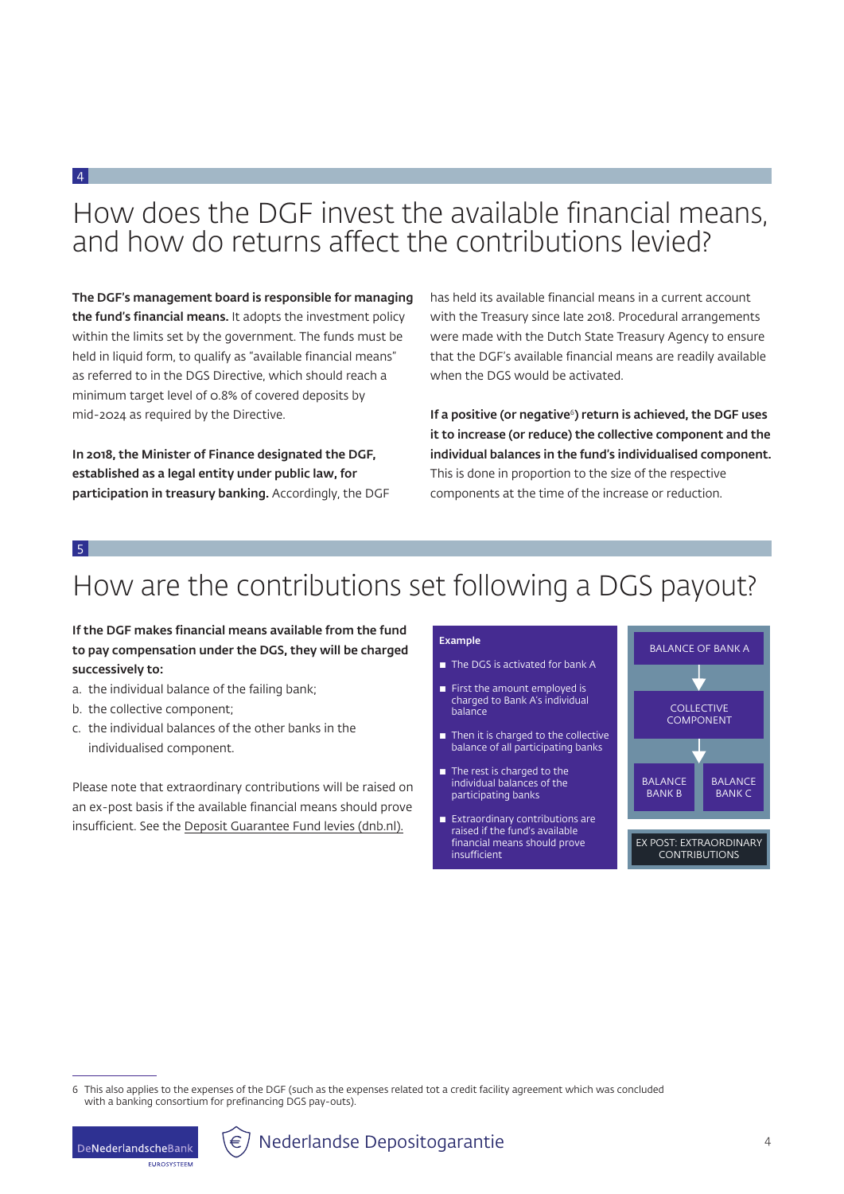## How does the DGF invest the available financial means, and how do returns affect the contributions levied?

The DGF's management board is responsible for managing the fund's financial means. It adopts the investment policy within the limits set by the government. The funds must be held in liquid form, to qualify as "available financial means" as referred to in the DGS Directive, which should reach a minimum target level of 0.8% of covered deposits by mid-2024 as required by the Directive.

In 2018, the Minister of Finance designated the DGF, established as a legal entity under public law, for participation in treasury banking. Accordingly, the DGF has held its available financial means in a current account with the Treasury since late 2018. Procedural arrangements were made with the Dutch State Treasury Agency to ensure that the DGF's available financial means are readily available when the DGS would be activated.

If a positive (or negative<sup>6</sup>) return is achieved, the DGF uses it to increase (or reduce) the collective component and the individual balances in the fund's individualised component. This is done in proportion to the size of the respective components at the time of the increase or reduction.

#### 5

4

### How are the contributions set following a DGS payout?  $x \sim 0.000$  x x  $\frac{1}{x}$

### If the DGF makes financial means available from the fund to pay compensation under the DGS, they will be charged successively to:

- a. the individual balance of the failing bank;
- b. the collective component;
- c. the individual balances of the other banks in the individualised component.

Please note that extraordinary contributions will be raised on an ex-post basis if the available financial means should prove insufficient. See the [Deposit Guarantee Fund levies \(dnb.nl\).](https://www.dnb.nl/en/sector-information/deposit-guarantee-scheme/deposit-guarantee-scheme/deposit-guarantee-fund-levies/)

#### Example

- The DGS is activated for bank A
- **First the amount employed is**  charged to Bank A's individual balance
- $\blacksquare$  Then it is charged to the collective balance of all participating banks
- $\blacksquare$  The rest is charged to the individual balances of the participating banks
- **Extraordinary contributions are**  raised if the fund's available financial means should prove insufficient



<sup>6</sup> This also applies to the expenses of the DGF (such as the expenses related tot a credit facility agreement which was concluded with a banking consortium for prefinancing DGS pay-outs).